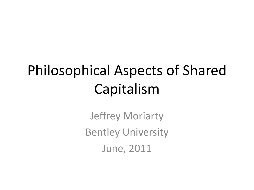# Philosophical Aspects of Shared Capitalism

Jeffrey Moriarty **Bentley University** June, 2011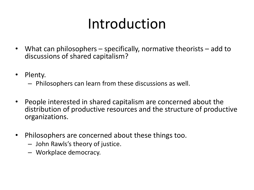# Introduction

- What can philosophers specifically, normative theorists add to discussions of shared capitalism?
- Plenty.
	- $-$  Philosophers can learn from these discussions as well.
- People interested in shared capitalism are concerned about the distribution of productive resources and the structure of productive organizations.
- Philosophers are concerned about these things too.
	- $-$  John Rawls's theory of justice.
	- Workplace democracy.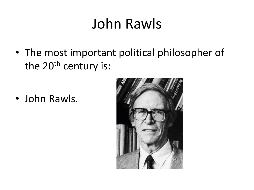#### John Rawls

• The most important political philosopher of the  $20<sup>th</sup>$  century is:

• John Rawls.

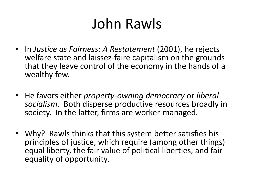#### John Rawls

- In *Justice as Fairness: A Restatement* (2001), he rejects welfare state and laissez-faire capitalism on the grounds that they leave control of the economy in the hands of a wealthy few.
- He favors either *property-owning democracy* or *liberal* socialism. Both disperse productive resources broadly in society. In the latter, firms are worker-managed.
- Why? Rawls thinks that this system better satisfies his principles of justice, which require (among other things) equal liberty, the fair value of political liberties, and fair equality of opportunity.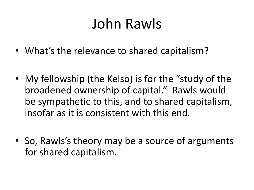#### John Rawls

- What's the relevance to shared capitalism?
- My fellowship (the Kelso) is for the "study of the broadened ownership of capital." Rawls would be sympathetic to this, and to shared capitalism, insofar as it is consistent with this end.
- So, Rawls's theory may be a source of arguments for shared capitalism.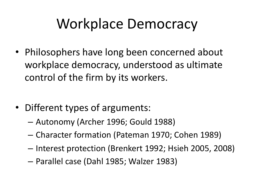### Workplace Democracy

• Philosophers have long been concerned about workplace democracy, understood as ultimate control of the firm by its workers.

- Different types of arguments:
	- Autonomy (Archer 1996; Gould 1988)
	- Character formation (Pateman 1970; Cohen 1989)
	- Interest protection (Brenkert 1992; Hsieh 2005, 2008)
	- Parallel case (Dahl 1985; Walzer 1983)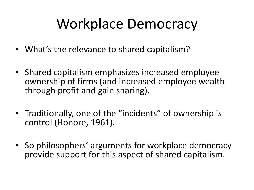### Workplace Democracy

- What's the relevance to shared capitalism?
- Shared capitalism emphasizes increased employee ownership of firms (and increased employee wealth through profit and gain sharing).
- Traditionally, one of the "incidents" of ownership is control (Honore, 1961).
- So philosophers' arguments for workplace democracy provide support for this aspect of shared capitalism.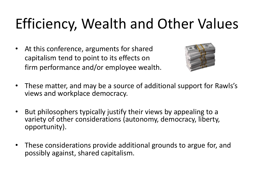# Efficiency, Wealth and Other Values

• At this conference, arguments for shared capitalism tend to point to its effects on firm performance and/or employee wealth.



- These matter, and may be a source of additional support for Rawls's views and workplace democracy.
- But philosophers typically justify their views by appealing to a variety of other considerations (autonomy, democracy, liberty, opportunity).
- These considerations provide additional grounds to argue for, and possibly against, shared capitalism.